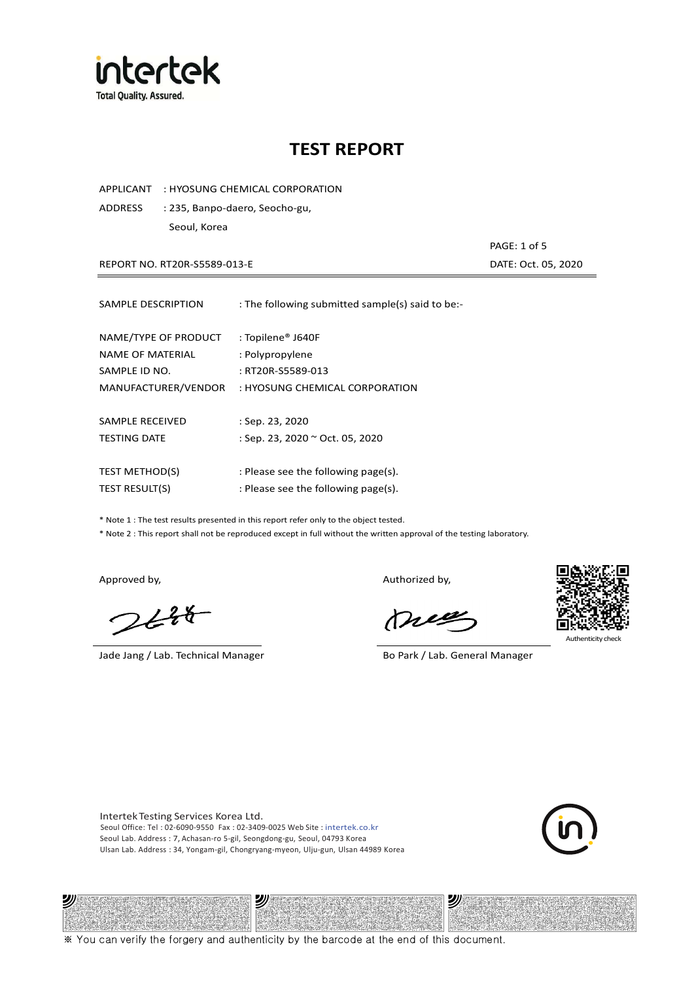

APPLICANT : HYOSUNG CHEMICAL CORPORATION

ADDRESS : 235, Banpo-daero, Seocho-gu, Seoul, Korea

REPORT NO. RT20R-S5589-013-E DATE: Oct. 05, 2020

PAGE: 1 of 5

| SAMPLE DESCRIPTION    | : The following submitted sample(s) said to be:- |
|-----------------------|--------------------------------------------------|
| NAME/TYPE OF PRODUCT  | : Topilene® J640F                                |
| NAME OF MATERIAL      | : Polypropylene                                  |
| SAMPLE ID NO.         | : RT20R-S5589-013                                |
| MANUFACTURER/VENDOR   | : HYOSUNG CHEMICAL CORPORATION                   |
| SAMPLE RECEIVED       | : Sep. 23, 2020                                  |
| <b>TESTING DATE</b>   | : Sep. 23, 2020 ~ Oct. 05, 2020                  |
| <b>TEST METHOD(S)</b> | : Please see the following page(s).              |
| <b>TEST RESULT(S)</b> | : Please see the following page(s).              |

\* Note 1 : The test results presented in this report refer only to the object tested.

\* Note 2 : This report shall not be reproduced except in full without the written approval of the testing laboratory.

沙

 $2648$ 

Jade Jang / Lab. Technical Manager Bo Park / Lab. General Manager

Approved by, and the control of the control of the Authorized by,

Mie



沙

Intertek Testing Services Korea Ltd. Seoul Office: Tel : 02-6090-9550 Fax : 02-3409-0025 Web Site : intertek.co.kr Seoul Lab. Address : 7, Achasan-ro 5-gil, Seongdong-gu, Seoul, 04793 Korea Ulsan Lab. Address : 34, Yongam-gil, Chongryang-myeon, Ulju-gun, Ulsan 44989 Korea

沙



※ You can verify the forgery and authenticity by the barcode at the end of this document.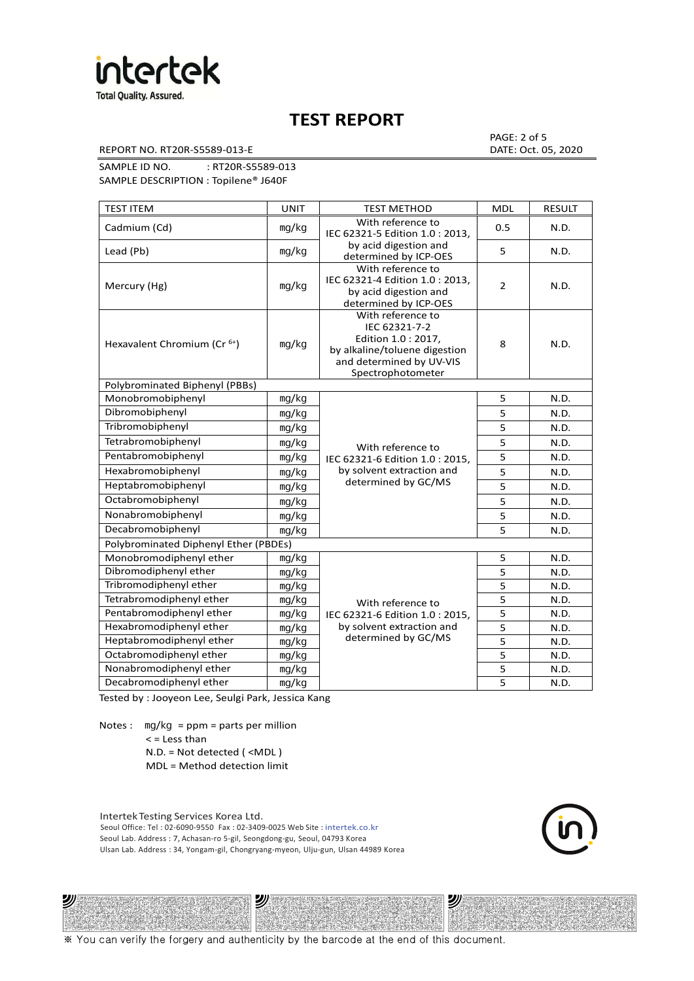

REPORT NO. RT20R-S5589-013-E DATE: Oct. 05, 2020

PAGE: 2 of 5

SAMPLE ID NO. : RT20R-S5589-013 SAMPLE DESCRIPTION : Topilene® J640F

| <b>TEST ITEM</b>                        | <b>UNIT</b> | <b>TEST METHOD</b>                                                                                                                          | <b>MDL</b>              | <b>RESULT</b> |
|-----------------------------------------|-------------|---------------------------------------------------------------------------------------------------------------------------------------------|-------------------------|---------------|
| Cadmium (Cd)                            | mg/kg       | With reference to<br>IEC 62321-5 Edition 1.0: 2013.                                                                                         | 0.5                     | N.D.          |
| Lead (Pb)                               | mg/kg       | by acid digestion and<br>determined by ICP-OES                                                                                              | 5                       | N.D.          |
| Mercury (Hg)                            | mg/kg       | With reference to<br>IEC 62321-4 Edition 1.0 : 2013,<br>by acid digestion and<br>determined by ICP-OES                                      | $\overline{2}$          | N.D.          |
| Hexavalent Chromium (Cr <sup>6+</sup> ) | mq/kg       | With reference to<br>IEC 62321-7-2<br>Edition 1.0 : 2017,<br>by alkaline/toluene digestion<br>and determined by UV-VIS<br>Spectrophotometer | 8                       | N.D.          |
| Polybrominated Biphenyl (PBBs)          |             |                                                                                                                                             |                         |               |
| Monobromobiphenyl                       | mg/kg       |                                                                                                                                             | 5                       | N.D.          |
| Dibromobiphenyl                         | mg/kg       |                                                                                                                                             | 5                       | N.D.          |
| Tribromobiphenyl                        | mg/kg       |                                                                                                                                             | 5                       | N.D.          |
| Tetrabromobiphenyl                      | mg/kg       | With reference to                                                                                                                           | $\overline{5}$          | N.D.          |
| Pentabromobiphenyl                      | mg/kg       | IEC 62321-6 Edition 1.0: 2015,                                                                                                              | 5                       | N.D.          |
| Hexabromobiphenyl                       | mg/kg       | by solvent extraction and                                                                                                                   | 5                       | N.D.          |
| Heptabromobiphenyl                      | mg/kg       | determined by GC/MS                                                                                                                         | 5                       | N.D.          |
| Octabromobiphenyl                       | mg/kg       |                                                                                                                                             | 5                       | N.D.          |
| Nonabromobiphenyl                       | mg/kg       |                                                                                                                                             | $\overline{\mathbf{5}}$ | N.D.          |
| Decabromobiphenyl                       | mg/kg       |                                                                                                                                             | 5                       | N.D.          |
| Polybrominated Diphenyl Ether (PBDEs)   |             |                                                                                                                                             |                         |               |
| Monobromodiphenyl ether                 | mg/kg       |                                                                                                                                             | 5                       | N.D.          |
| Dibromodiphenyl ether                   | mg/kg       |                                                                                                                                             | 5                       | N.D.          |
| Tribromodiphenyl ether                  | mg/kg       |                                                                                                                                             | 5                       | N.D.          |
| Tetrabromodiphenyl ether                | mg/kg       | With reference to                                                                                                                           | 5                       | N.D.          |
| Pentabromodiphenyl ether                | mg/kg       | IEC 62321-6 Edition 1.0 : 2015,                                                                                                             | 5                       | N.D.          |
| Hexabromodiphenyl ether                 | mg/kg       | by solvent extraction and                                                                                                                   | 5                       | N.D.          |
| Heptabromodiphenyl ether                | mg/kg       | determined by GC/MS                                                                                                                         | 5                       | N.D.          |
| Octabromodiphenyl ether                 | mg/kg       |                                                                                                                                             | 5                       | N.D.          |
| Nonabromodiphenyl ether                 | mg/kg       |                                                                                                                                             | 5                       | N.D.          |
| Decabromodiphenyl ether                 | mg/kg       |                                                                                                                                             | 5                       | N.D.          |

Tested by : Jooyeon Lee, Seulgi Park, Jessica Kang

Notes : mg/kg = ppm = parts per million  $<$  = Less than

沙

N.D. = Not detected ( <MDL )

MDL = Method detection limit

Intertek Testing Services Korea Ltd. Seoul Office: Tel : 02-6090-9550 Fax : 02-3409-0025 Web Site : intertek.co.kr Seoul Lab. Address : 7, Achasan-ro 5-gil, Seongdong-gu, Seoul, 04793 Korea Ulsan Lab. Address : 34, Yongam-gil, Chongryang-myeon, Ulju-gun, Ulsan 44989 Korea

沙



沙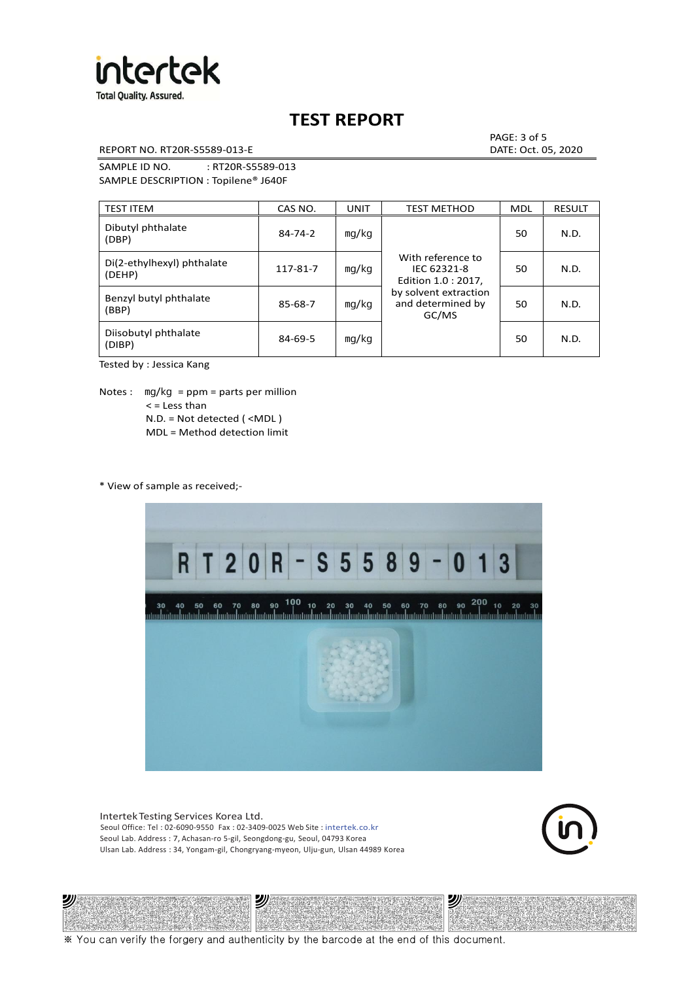

REPORT NO. RT20R-S5589-013-E DATE: Oct. 05, 2020

PAGE: 3 of 5

SAMPLE ID NO. : RT20R-S5589-013 SAMPLE DESCRIPTION : Topilene® J640F

| <b>TEST ITEM</b>                     | CAS NO.       | UNIT  | <b>TEST METHOD</b>                                      | <b>MDL</b> | <b>RESULT</b> |
|--------------------------------------|---------------|-------|---------------------------------------------------------|------------|---------------|
| Dibutyl phthalate<br>(DBP)           | $84 - 74 - 2$ | mq/kg | With reference to<br>IEC 62321-8<br>Edition 1.0 : 2017, | 50         | N.D.          |
| Di(2-ethylhexyl) phthalate<br>(DEHP) | 117-81-7      | mq/kg |                                                         | 50         | N.D.          |
| Benzyl butyl phthalate<br>(BBP)      | 85-68-7       | mg/kg | by solvent extraction<br>and determined by<br>GC/MS     | 50         | N.D.          |
| Diisobutyl phthalate<br>(DIBP)       | $84 - 69 - 5$ | mg/kg |                                                         | 50         | N.D.          |

Tested by : Jessica Kang

Notes :  $mq/kg = ppm = parts per million$  $<$  = Less than N.D. = Not detected ( <MDL ) MDL = Method detection limit

\* View of sample as received;-

沙



Intertek Testing Services Korea Ltd. Seoul Office: Tel : 02-6090-9550 Fax : 02-3409-0025 Web Site : intertek.co.kr Seoul Lab. Address : 7, Achasan-ro 5-gil, Seongdong-gu, Seoul, 04793 Korea Ulsan Lab. Address : 34, Yongam-gil, Chongryang-myeon, Ulju-gun, Ulsan 44989 Korea

沙



沙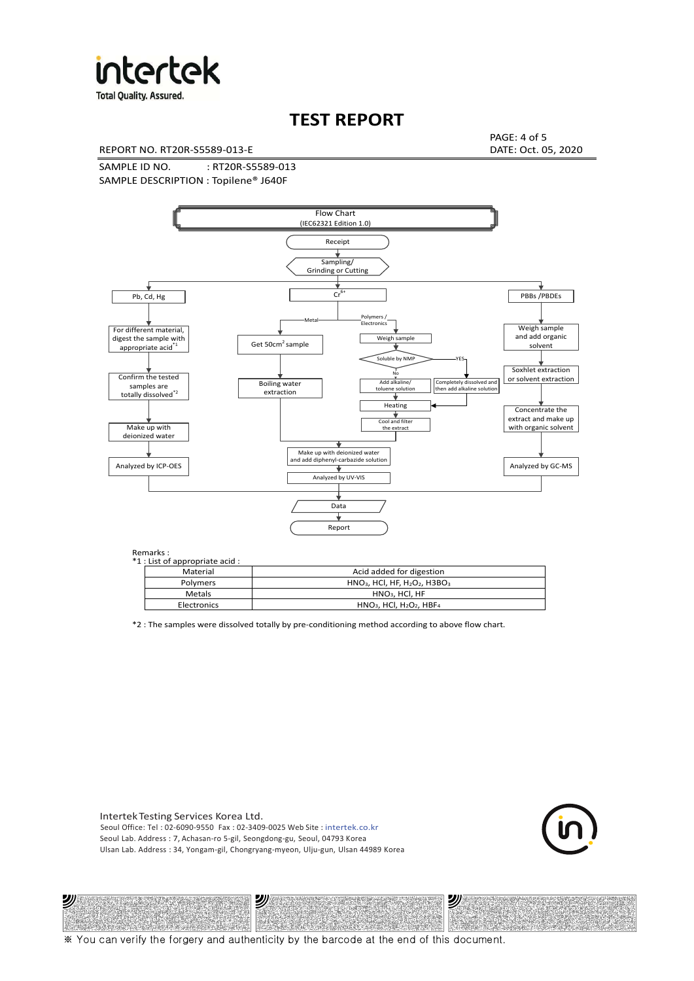

**Total Quality. Assured.** 

## **TEST REPORT**

REPORT NO. RT20R-S5589-013-E DATE: Oct. 05, 2020

PAGE: 4 of 5

SAMPLE ID NO. : RT20R-S5589-013 SAMPLE DESCRIPTION : Topilene® J640F



| *1 : List of appropriate acid : |                                                                     |
|---------------------------------|---------------------------------------------------------------------|
| Material                        | Acid added for digestion                                            |
| <b>Polymers</b>                 | $HNO3$ , HCl, HF, H <sub>2</sub> O <sub>2</sub> , H3BO <sub>3</sub> |
| <b>Metals</b>                   | $HNO3$ . HCl. HF                                                    |
| Electronics                     | $HNO3$ , HCl, H <sub>2</sub> O <sub>2</sub> , HBF <sub>4</sub>      |

\*2 : The samples were dissolved totally by pre-conditioning method according to above flow chart.

Intertek Testing Services Korea Ltd. Seoul Office: Tel : 02-6090-9550 Fax : 02-3409-0025 Web Site : intertek.co.kr Seoul Lab. Address : 7, Achasan-ro 5-gil, Seongdong-gu, Seoul, 04793 Korea Ulsan Lab. Address : 34, Yongam-gil, Chongryang-myeon, Ulju-gun, Ulsan 44989 Korea

沙

沙



沙